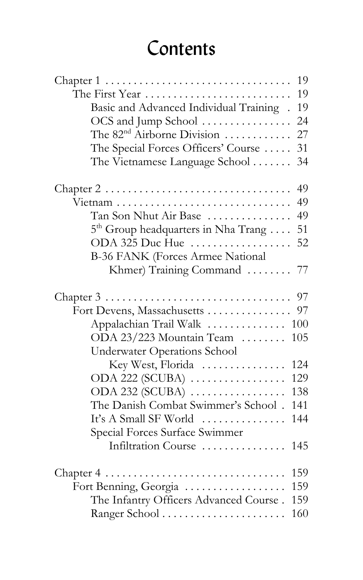## Contents

|                                                                                   | 19  |
|-----------------------------------------------------------------------------------|-----|
| The First Year                                                                    | 19  |
| Basic and Advanced Individual Training.                                           | 19  |
| OCS and Jump School                                                               | 24  |
| The 82 <sup>nd</sup> Airborne Division                                            | 27  |
| The Special Forces Officers' Course                                               | 31  |
| The Vietnamese Language School                                                    | 34  |
| Chapter $2 \ldots \ldots \ldots \ldots \ldots \ldots \ldots \ldots \ldots \ldots$ | 49  |
| Vietnam                                                                           | 49  |
| Tan Son Nhut Air Base                                                             | 49  |
| $5th$ Group headquarters in Nha Trang                                             | 51  |
| ODA 325 Duc Hue                                                                   | 52  |
| B-36 FANK (Forces Armee National                                                  |     |
| Khmer) Training Command  77                                                       |     |
| Chapter $3 \ldots \ldots \ldots \ldots \ldots \ldots \ldots \ldots \ldots \ldots$ | 97  |
| Fort Devens, Massachusetts                                                        | 97  |
| Appalachian Trail Walk                                                            | 100 |
| ODA 23/223 Mountain Team                                                          | 105 |
| <b>Underwater Operations School</b>                                               |     |
| Key West, Florida                                                                 | 124 |
| ODA 222 (SCUBA)                                                                   | 129 |
| ODA 232 (SCUBA)                                                                   | 138 |
| The Danish Combat Swimmer's School.                                               | 141 |
| It's A Small SF World                                                             | 144 |
| Special Forces Surface Swimmer                                                    |     |
| Infiltration Course                                                               | 145 |
| Chapter 4                                                                         | 159 |
| Fort Benning, Georgia                                                             | 159 |
| The Infantry Officers Advanced Course.                                            | 159 |
| Ranger School                                                                     | 160 |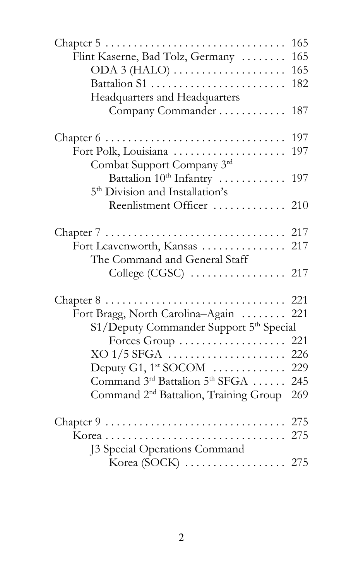|                                                                            | 165 |
|----------------------------------------------------------------------------|-----|
| Flint Kaserne, Bad Tolz, Germany                                           | 165 |
| $ODA 3 (HALO) \ldots$                                                      | 165 |
| Battalion S1                                                               | 182 |
| Headquarters and Headquarters                                              |     |
| Company Commander                                                          | 187 |
| Chapter $6 \ldots \ldots \ldots \ldots \ldots \ldots \ldots \ldots \ldots$ | 197 |
| Fort Polk, Louisiana                                                       | 197 |
| Combat Support Company 3rd                                                 |     |
| Battalion $10^{\text{th}}$ Infantry $\dots\dots\dots\dots$                 | 197 |
| 5 <sup>th</sup> Division and Installation's                                |     |
| Reenlistment Officer  210                                                  |     |
|                                                                            |     |
| Fort Leavenworth, Kansas  217                                              |     |
| The Command and General Staff                                              |     |
|                                                                            |     |
|                                                                            |     |
| Fort Bragg, North Carolina-Again                                           | 221 |
| S1/Deputy Commander Support 5 <sup>th</sup> Special                        |     |
| Forces $Group \ldots \ldots \ldots \ldots \ldots$                          | 221 |
|                                                                            | 226 |
|                                                                            |     |
| Command $3^{\text{rd}}$ Battalion $5^{\text{th}}$ SFGA $\dots$ .           | 245 |
| Command 2 <sup>nd</sup> Battalion, Training Group                          | 269 |
|                                                                            |     |
|                                                                            |     |
| J3 Special Operations Command                                              |     |
|                                                                            |     |